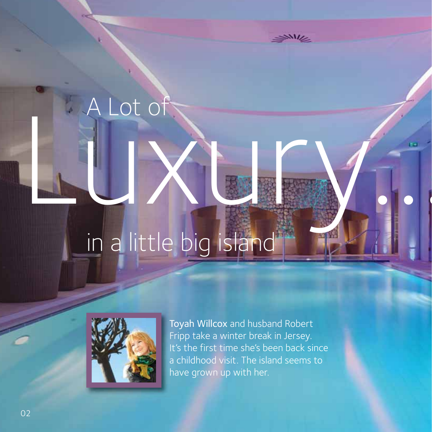## Luxury. in a little big island



A Lot of

Toyah Willcox and husband Robert Fripp take a winter break in Jersey. It's the first time she's been back since a childhood visit. The island seems to have grown up with her.

 $\mathcal{N}$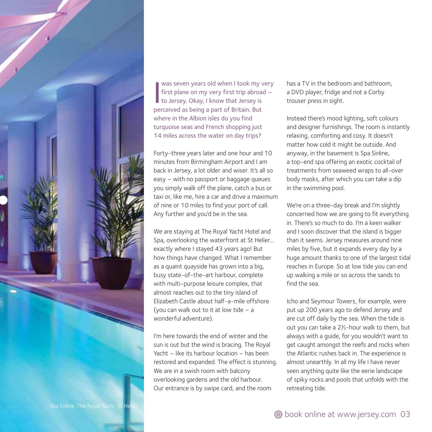

was seven years old when I took my<br>first plane on my very first trip abroa<br>to Jersey. Okay, I know that Jersey is<br>perceived as being a part of Britain. But was seven years old when I took my very first plane on my very first trip abroad – to Jersey. Okay, I know that Jersey is where in the Albion isles do you find turquoise seas and French shopping just 14 miles across the water on day trips?

Forty-three years later and one hour and 10 minutes from Birmingham Airport and I am back in Jersey, a lot older and wiser. It's all so easy – with no passport or baggage queues you simply walk off the plane, catch a bus or taxi or, like me, hire a car and drive a maximum of nine or 10 miles to find your port of call. Any further and you'd be in the sea.

We are staying at The Royal Yacht Hotel and Spa, overlooking the waterfront at St Helier… exactly where I stayed 43 years ago! But how things have changed. What I remember as a quaint quayside has grown into a big, busy state-of-the-art harbour, complete with multi-purpose leisure complex, that almost reaches out to the tiny island of Elizabeth Castle about half-a-mile offshore (you can walk out to it at low tide – a wonderful adventure).

I'm here towards the end of winter and the sun is out but the wind is bracing. The Royal Yacht – like its harbour location – has been restored and expanded. The effect is stunning. We are in a swish room with balcony overlooking gardens and the old harbour. Our entrance is by swipe card, and the room

has a TV in the bedroom and bathroom, a DVD player, fridge and not a Corby trouser press in sight.

Instead there's mood lighting, soft colours and designer furnishings. The room is instantly relaxing, comforting and cosy. It doesn't matter how cold it might be outside. And anyway, in the basement is Spa Sirène, a top-end spa offering an exotic cocktail of treatments from seaweed wraps to all-over body masks, after which you can take a dip in the swimming pool.

We're on a three-day break and I'm slightly concerned how we are going to fit everything in. There's so much to do. I'm a keen walker and I soon discover that the island is bigger than it seems. Jersey measures around nine miles by five, but it expands every day by a huge amount thanks to one of the largest tidal reaches in Europe. So at low tide you can end up walking a mile or so across the sands to find the sea.

Icho and Seymour Towers, for example, were put up 200 years ago to defend Jersey and are cut off daily by the sea. When the tide is out you can take a 2½-hour walk to them, but always with a guide, for you wouldn't want to get caught amongst the reefs and rocks when the Atlantic rushes back in. The experience is almost unearthly. In all my life I have never seen anything quite like the eerie landscape of spiky rocks and pools that unfolds with the retreating tide.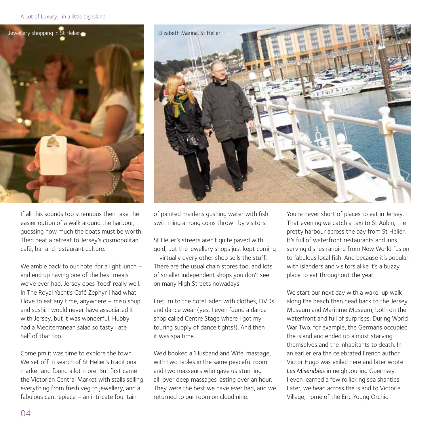## A Lot of Luxury... in a little big island



If all this sounds too strenuous then take the easier option of a walk around the harbour, guessing how much the boats must be worth. Then beat a retreat to Jersey's cosmopolitan café, bar and restaurant culture.

We amble back to our hotel for a light lunch and end up having one of the best meals we've ever had. Jersey does 'food' really well. In The Royal Yacht's Café Zephyr I had what I love to eat any time, anywhere – miso soup and sushi. I would never have associated it with Jersey, but it was wonderful. Hubby had a Mediterranean salad so tasty I ate half of that too.

Come pm it was time to explore the town. We set off in search of St Helier's traditional market and found a lot more. But first came the Victorian Central Market with stalls selling everything from fresh veg to jewellery, and a fabulous centrepiece – an intricate fountain



of painted maidens gushing water with fish swimming among coins thrown by visitors.

St Helier's streets aren't quite paved with gold, but the jewellery shops just kept coming – virtually every other shop sells the stuff. There are the usual chain stores too, and lots of smaller independent shops you don't see on many High Streets nowadays.

I return to the hotel laden with clothes, DVDs and dance wear (yes, I even found a dance shop called Centre Stage where I got my touring supply of dance tights!). And then it was spa time.

We'd booked a 'Husband and Wife' massage, with two tables in the same peaceful room and two masseurs who gave us stunning all-over deep massages lasting over an hour. They were the best we have ever had, and we returned to our room on cloud nine.

You're never short of places to eat in Jersey. That evening we catch a taxi to St Aubin, the pretty harbour across the bay from St Helier. It's full of waterfront restaurants and inns serving dishes ranging from New World fusion to fabulous local fish. And because it's popular with islanders and visitors alike it's a buzzy place to eat throughout the year.

We start our next day with a wake-up walk along the beach then head back to the Jersey Museum and Maritime Museum, both on the waterfront and full of surprises. During World War Two, for example, the Germans occupied the island and ended up almost starving themselves and the inhabitants to death. In an earlier era the celebrated French author Victor Hugo was exiled here and later wrote *Les Misérables* in neighbouring Guernsey. I even learned a few rollicking sea shanties. Later, we head across the island to Victoria Village, home of the Eric Young Orchid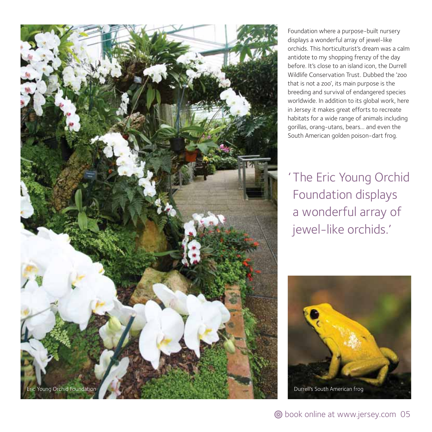

Foundation where a purpose-built nursery displays a wonderful array of jewel-like orchids. This horticulturist's dream was a calm antidote to my shopping frenzy of the day before. It's close to an island icon, the Durrell Wildlife Conservation Trust. Dubbed the 'zoo that is not a zoo', its main purpose is the breeding and survival of endangered species worldwide. In addition to its global work, here in Jersey it makes great efforts to recreate habitats for a wide range of animals including gorillas, orang-utans, bears… and even the South American golden poison-dart frog.

' The Eric Young Orchid Foundation displays a wonderful array of jewel-like orchids.'